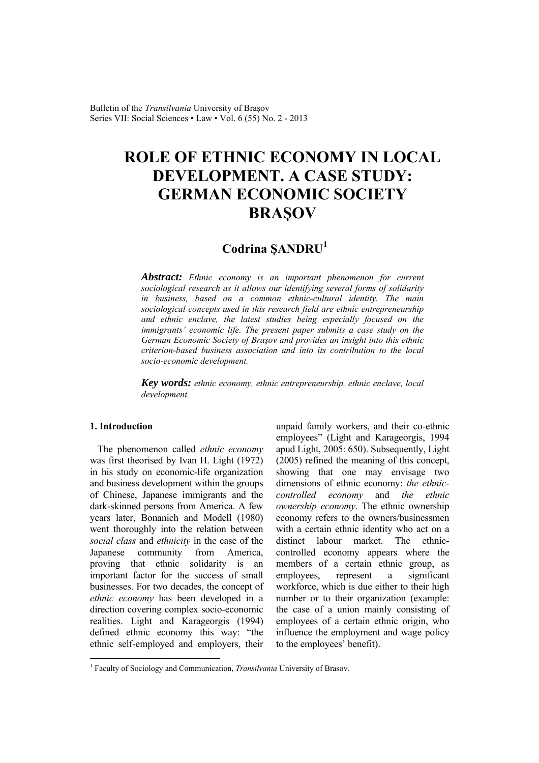Bulletin of the *Transilvania* University of Braşov Series VII: Social Sciences • Law • Vol. 6 (55) No. 2 - 2013

# **ROLE OF ETHNIC ECONOMY IN LOCAL DEVELOPMENT. A CASE STUDY: GERMAN ECONOMIC SOCIETY BRAŞOV**

# **Codrina ŞANDRU<sup>1</sup>**

*Abstract: Ethnic economy is an important phenomenon for current sociological research as it allows our identifying several forms of solidarity in business, based on a common ethnic-cultural identity. The main sociological concepts used in this research field are ethnic entrepreneurship and ethnic enclave, the latest studies being especially focused on the immigrants' economic life. The present paper submits a case study on the German Economic Society of Braşov and provides an insight into this ethnic criterion-based business association and into its contribution to the local socio-economic development.* 

*Key words: ethnic economy, ethnic entrepreneurship, ethnic enclave, local development.*

# **1. Introduction**

 $\overline{a}$ 

The phenomenon called *ethnic economy* was first theorised by Ivan H. Light (1972) in his study on economic-life organization and business development within the groups of Chinese, Japanese immigrants and the dark-skinned persons from America. A few years later, Bonanich and Modell (1980) went thoroughly into the relation between *social class* and *ethnicity* in the case of the Japanese community from America, proving that ethnic solidarity is an important factor for the success of small businesses. For two decades, the concept of *ethnic economy* has been developed in a direction covering complex socio-economic realities. Light and Karageorgis (1994) defined ethnic economy this way: "the ethnic self-employed and employers, their

unpaid family workers, and their co-ethnic employees" (Light and Karageorgis, 1994 apud Light, 2005: 650). Subsequently, Light (2005) refined the meaning of this concept, showing that one may envisage two dimensions of ethnic economy: *the ethniccontrolled economy* and *the ethnic ownership economy*. The ethnic ownership economy refers to the owners/businessmen with a certain ethnic identity who act on a distinct labour market. The ethniccontrolled economy appears where the members of a certain ethnic group, as employees, represent a significant workforce, which is due either to their high number or to their organization (example: the case of a union mainly consisting of employees of a certain ethnic origin, who influence the employment and wage policy to the employees' benefit).

<sup>&</sup>lt;sup>1</sup> Faculty of Sociology and Communication, *Transilvania* University of Brasov.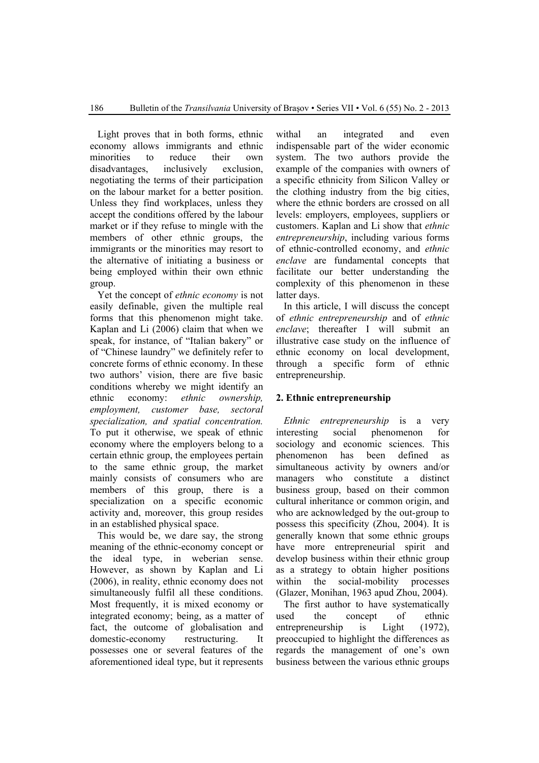Light proves that in both forms, ethnic economy allows immigrants and ethnic minorities to reduce their own disadvantages, inclusively exclusion, negotiating the terms of their participation on the labour market for a better position. Unless they find workplaces, unless they accept the conditions offered by the labour market or if they refuse to mingle with the members of other ethnic groups, the immigrants or the minorities may resort to the alternative of initiating a business or being employed within their own ethnic group.

Yet the concept of *ethnic economy* is not easily definable, given the multiple real forms that this phenomenon might take. Kaplan and Li (2006) claim that when we speak, for instance, of "Italian bakery" or of "Chinese laundry" we definitely refer to concrete forms of ethnic economy. In these two authors' vision, there are five basic conditions whereby we might identify an ethnic economy: *ethnic ownership, employment, customer base, sectoral specialization, and spatial concentration.* To put it otherwise, we speak of ethnic economy where the employers belong to a certain ethnic group, the employees pertain to the same ethnic group, the market mainly consists of consumers who are members of this group, there is a specialization on a specific economic activity and, moreover, this group resides in an established physical space.

This would be, we dare say, the strong meaning of the ethnic-economy concept or the ideal type, in weberian sense. However, as shown by Kaplan and Li (2006), in reality, ethnic economy does not simultaneously fulfil all these conditions. Most frequently, it is mixed economy or integrated economy; being, as a matter of fact, the outcome of globalisation and domestic-economy restructuring. It possesses one or several features of the aforementioned ideal type, but it represents

withal an integrated and even indispensable part of the wider economic system. The two authors provide the example of the companies with owners of a specific ethnicity from Silicon Valley or the clothing industry from the big cities, where the ethnic borders are crossed on all levels: employers, employees, suppliers or customers. Kaplan and Li show that *ethnic entrepreneurship*, including various forms of ethnic-controlled economy, and *ethnic enclave* are fundamental concepts that facilitate our better understanding the complexity of this phenomenon in these latter days.

In this article, I will discuss the concept of *ethnic entrepreneurship* and of *ethnic enclave*; thereafter I will submit an illustrative case study on the influence of ethnic economy on local development, through a specific form of ethnic entrepreneurship.

# **2. Ethnic entrepreneurship**

*Ethnic entrepreneurship* is a very interesting social phenomenon for sociology and economic sciences. This phenomenon has been defined as simultaneous activity by owners and/or managers who constitute a distinct business group, based on their common cultural inheritance or common origin, and who are acknowledged by the out-group to possess this specificity (Zhou, 2004). It is generally known that some ethnic groups have more entrepreneurial spirit and develop business within their ethnic group as a strategy to obtain higher positions within the social-mobility processes (Glazer, Monihan, 1963 apud Zhou, 2004).

The first author to have systematically used the concept of ethnic entrepreneurship is Light (1972), preoccupied to highlight the differences as regards the management of one's own business between the various ethnic groups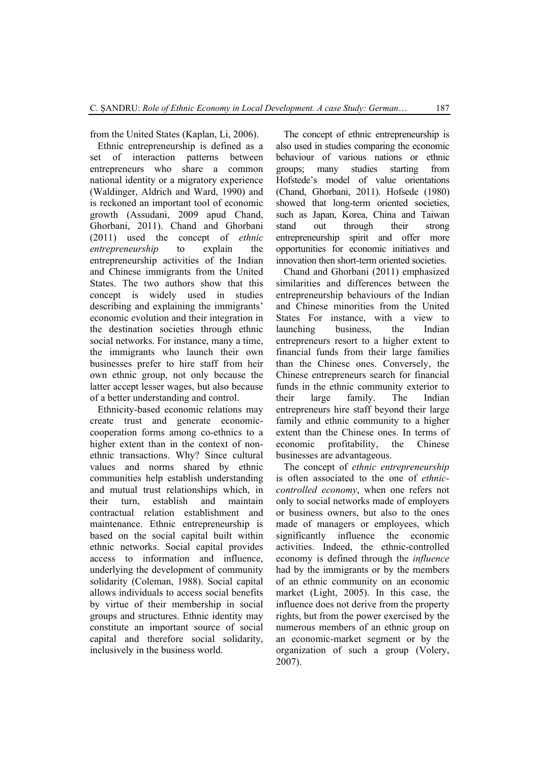from the United States (Kaplan, Li, 2006).

Ethnic entrepreneurship is defined as a set of interaction patterns between entrepreneurs who share a common national identity or a migratory experience (Waldinger, Aldrich and Ward, 1990) and is reckoned an important tool of economic growth (Assudani, 2009 apud Chand, Ghorbani, 2011). Chand and Ghorbani (2011) used the concept of *ethnic entrepreneurship* to explain the entrepreneurship activities of the Indian and Chinese immigrants from the United States. The two authors show that this concept is widely used in studies describing and explaining the immigrants' economic evolution and their integration in the destination societies through ethnic social networks. For instance, many a time, the immigrants who launch their own businesses prefer to hire staff from heir own ethnic group, not only because the latter accept lesser wages, but also because of a better understanding and control.

Ethnicity-based economic relations may create trust and generate economiccooperation forms among co-ethnics to a higher extent than in the context of nonethnic transactions. Why? Since cultural values and norms shared by ethnic communities help establish understanding and mutual trust relationships which, in their turn, establish and maintain contractual relation establishment and maintenance. Ethnic entrepreneurship is based on the social capital built within ethnic networks. Social capital provides access to information and influence, underlying the development of community solidarity (Coleman, 1988). Social capital allows individuals to access social benefits by virtue of their membership in social groups and structures. Ethnic identity may constitute an important source of social capital and therefore social solidarity, inclusively in the business world.

The concept of ethnic entrepreneurship is also used in studies comparing the economic behaviour of various nations or ethnic groups; many studies starting from Hofstede's model of value orientations (Chand, Ghorbani, 2011). Hofsede (1980) showed that long-term oriented societies, such as Japan, Korea, China and Taiwan stand out through their strong entrepreneurship spirit and offer more opportunities for economic initiatives and innovation then short-term oriented societies.

Chand and Ghorbani (2011) emphasized similarities and differences between the entrepreneurship behaviours of the Indian and Chinese minorities from the United States For instance, with a view to launching business, the Indian entrepreneurs resort to a higher extent to financial funds from their large families than the Chinese ones. Conversely, the Chinese entrepreneurs search for financial funds in the ethnic community exterior to their large family. The Indian entrepreneurs hire staff beyond their large family and ethnic community to a higher extent than the Chinese ones. In terms of economic profitability, the Chinese businesses are advantageous.

The concept of *ethnic entrepreneurship* is often associated to the one of *ethniccontrolled economy*, when one refers not only to social networks made of employers or business owners, but also to the ones made of managers or employees, which significantly influence the economic activities. Indeed, the ethnic-controlled economy is defined through the *influence* had by the immigrants or by the members of an ethnic community on an economic market (Light, 2005). In this case, the influence does not derive from the property rights, but from the power exercised by the numerous members of an ethnic group on an economic-market segment or by the organization of such a group (Volery, 2007).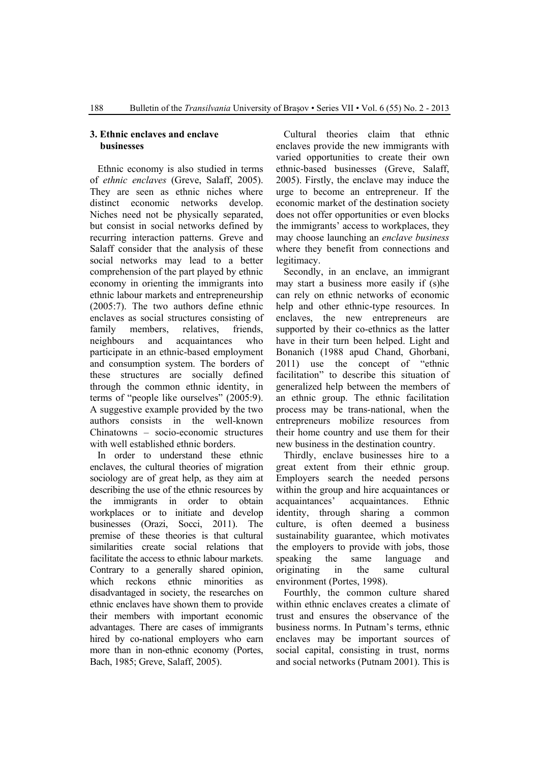#### **3. Ethnic enclaves and enclave businesses**

Ethnic economy is also studied in terms of *ethnic enclaves* (Greve, Salaff, 2005). They are seen as ethnic niches where distinct economic networks develop. Niches need not be physically separated, but consist in social networks defined by recurring interaction patterns. Greve and Salaff consider that the analysis of these social networks may lead to a better comprehension of the part played by ethnic economy in orienting the immigrants into ethnic labour markets and entrepreneurship (2005:7). The two authors define ethnic enclaves as social structures consisting of family members, relatives, friends, neighbours and acquaintances who participate in an ethnic-based employment and consumption system. The borders of these structures are socially defined through the common ethnic identity, in terms of "people like ourselves" (2005:9). A suggestive example provided by the two authors consists in the well-known Chinatowns – socio-economic structures with well established ethnic borders.

In order to understand these ethnic enclaves, the cultural theories of migration sociology are of great help, as they aim at describing the use of the ethnic resources by the immigrants in order to obtain workplaces or to initiate and develop businesses (Orazi, Socci, 2011). The premise of these theories is that cultural similarities create social relations that facilitate the access to ethnic labour markets. Contrary to a generally shared opinion, which reckons ethnic minorities as disadvantaged in society, the researches on ethnic enclaves have shown them to provide their members with important economic advantages. There are cases of immigrants hired by co-national employers who earn more than in non-ethnic economy (Portes, Bach, 1985; Greve, Salaff, 2005).

Cultural theories claim that ethnic enclaves provide the new immigrants with varied opportunities to create their own ethnic-based businesses (Greve, Salaff, 2005). Firstly, the enclave may induce the urge to become an entrepreneur. If the economic market of the destination society does not offer opportunities or even blocks the immigrants' access to workplaces, they may choose launching an *enclave business* where they benefit from connections and legitimacy.

Secondly, in an enclave, an immigrant may start a business more easily if (s)he can rely on ethnic networks of economic help and other ethnic-type resources. In enclaves, the new entrepreneurs are supported by their co-ethnics as the latter have in their turn been helped. Light and Bonanich (1988 apud Chand, Ghorbani, 2011) use the concept of "ethnic facilitation" to describe this situation of generalized help between the members of an ethnic group. The ethnic facilitation process may be trans-national, when the entrepreneurs mobilize resources from their home country and use them for their new business in the destination country.

Thirdly, enclave businesses hire to a great extent from their ethnic group. Employers search the needed persons within the group and hire acquaintances or acquaintances' acquaintances. Ethnic identity, through sharing a common culture, is often deemed a business sustainability guarantee, which motivates the employers to provide with jobs, those speaking the same language and originating in the same cultural environment (Portes, 1998).

Fourthly, the common culture shared within ethnic enclaves creates a climate of trust and ensures the observance of the business norms. In Putnam's terms, ethnic enclaves may be important sources of social capital, consisting in trust, norms and social networks (Putnam 2001). This is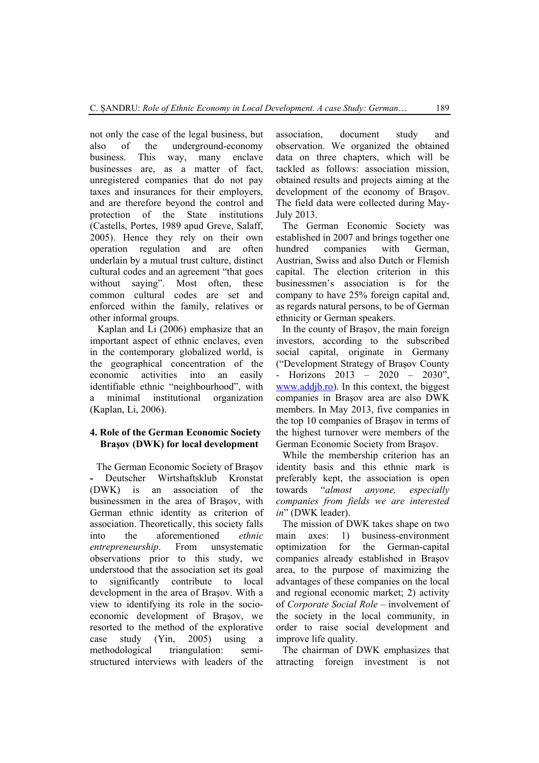not only the case of the legal business, but also of the underground-economy business. This way, many enclave businesses are, as a matter of fact, unregistered companies that do not pay taxes and insurances for their employers, and are therefore beyond the control and protection of the State institutions (Castells, Portes, 1989 apud Greve, Salaff, 2005). Hence they rely on their own operation regulation and are often underlain by a mutual trust culture, distinct cultural codes and an agreement "that goes without saying". Most often, these common cultural codes are set and enforced within the family, relatives or other informal groups.

Kaplan and Li (2006) emphasize that an important aspect of ethnic enclaves, even in the contemporary globalized world, is the geographical concentration of the economic activities into an easily identifiable ethnic "neighbourhood", with a minimal institutional organization (Kaplan, Li, 2006).

# **4. Role of the German Economic Society Braşov (DWK) for local development**

The German Economic Society of Braşov **-** Deutscher Wirtshaftsklub Kronstat (DWK) is an association of the businessmen in the area of Braşov, with German ethnic identity as criterion of association. Theoretically, this society falls into the aforementioned *ethnic entrepreneurship*. From unsystematic observations prior to this study, we understood that the association set its goal to significantly contribute to local development in the area of Braşov. With a view to identifying its role in the socioeconomic development of Braşov, we resorted to the method of the explorative case study (Yin, 2005) using a methodological triangulation: semistructured interviews with leaders of the

association, document study and observation. We organized the obtained data on three chapters, which will be tackled as follows: association mission, obtained results and projects aiming at the development of the economy of Braşov. The field data were collected during May-July 2013.

The German Economic Society was established in 2007 and brings together one hundred companies with German, Austrian, Swiss and also Dutch or Flemish capital. The election criterion in this businessmen's association is for the company to have 25% foreign capital and, as regards natural persons, to be of German ethnicity or German speakers.

In the county of Braşov, the main foreign investors, according to the subscribed social capital, originate in Germany ("Development Strategy of Braşov County Horizons 2013 – 2020 – 2030", www.addjb.ro). In this context, the biggest companies in Braşov area are also DWK members. In May 2013, five companies in the top 10 companies of Braşov in terms of the highest turnover were members of the German Economic Society from Braşov.

While the membership criterion has an identity basis and this ethnic mark is preferably kept, the association is open towards "*almost anyone, especially companies from fields we are interested in*" (DWK leader).

The mission of DWK takes shape on two main axes: 1) business-environment optimization for the German-capital companies already established in Braşov area, to the purpose of maximizing the advantages of these companies on the local and regional economic market; 2) activity of *Corporate Social Role* – involvement of the society in the local community, in order to raise social development and improve life quality.

The chairman of DWK emphasizes that attracting foreign investment is not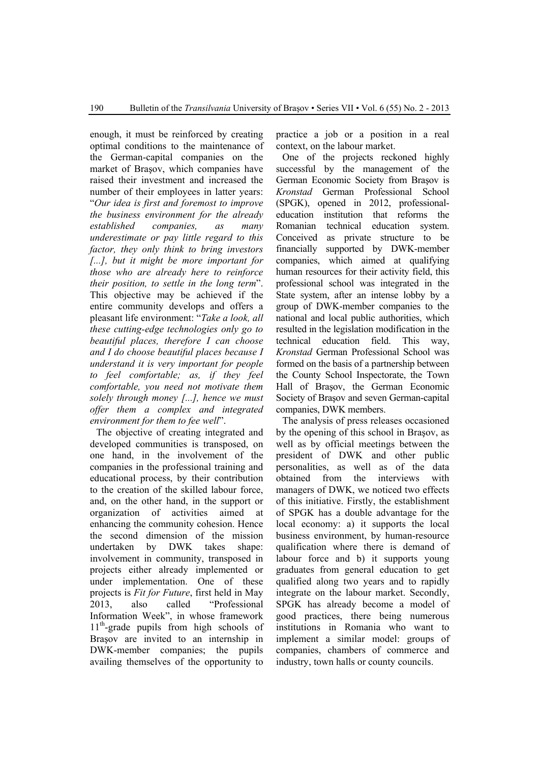enough, it must be reinforced by creating optimal conditions to the maintenance of the German-capital companies on the market of Braşov, which companies have raised their investment and increased the number of their employees in latter years: "*Our idea is first and foremost to improve the business environment for the already established companies, as many underestimate or pay little regard to this factor, they only think to bring investors [...], but it might be more important for those who are already here to reinforce their position, to settle in the long term*". This objective may be achieved if the entire community develops and offers a pleasant life environment: "*Take a look, all these cutting-edge technologies only go to beautiful places, therefore I can choose and I do choose beautiful places because I understand it is very important for people to feel comfortable; as, if they feel comfortable, you need not motivate them solely through money [...], hence we must offer them a complex and integrated environment for them to fee well*".

The objective of creating integrated and developed communities is transposed, on one hand, in the involvement of the companies in the professional training and educational process, by their contribution to the creation of the skilled labour force, and, on the other hand, in the support or organization of activities aimed at enhancing the community cohesion. Hence the second dimension of the mission undertaken by DWK takes shape: involvement in community, transposed in projects either already implemented or under implementation. One of these projects is *Fit for Future*, first held in May 2013, also called "Professional Information Week", in whose framework  $11<sup>th</sup>$ -grade pupils from high schools of Braşov are invited to an internship in DWK-member companies; the pupils availing themselves of the opportunity to

practice a job or a position in a real context, on the labour market.

One of the projects reckoned highly successful by the management of the German Economic Society from Braşov is *Kronstad* German Professional School (SPGK), opened in 2012, professionaleducation institution that reforms the Romanian technical education system. Conceived as private structure to be financially supported by DWK-member companies, which aimed at qualifying human resources for their activity field, this professional school was integrated in the State system, after an intense lobby by a group of DWK-member companies to the national and local public authorities, which resulted in the legislation modification in the technical education field. This way, *Kronstad* German Professional School was formed on the basis of a partnership between the County School Inspectorate, the Town Hall of Braşov, the German Economic Society of Braşov and seven German-capital companies, DWK members.

The analysis of press releases occasioned by the opening of this school in Braşov, as well as by official meetings between the president of DWK and other public personalities, as well as of the data obtained from the interviews with managers of DWK, we noticed two effects of this initiative. Firstly, the establishment of SPGK has a double advantage for the local economy: a) it supports the local business environment, by human-resource qualification where there is demand of labour force and b) it supports young graduates from general education to get qualified along two years and to rapidly integrate on the labour market. Secondly, SPGK has already become a model of good practices, there being numerous institutions in Romania who want to implement a similar model: groups of companies, chambers of commerce and industry, town halls or county councils.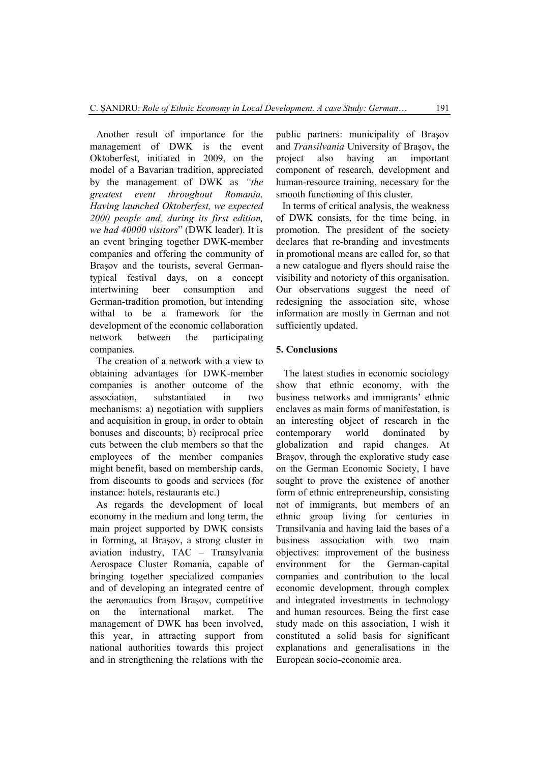Another result of importance for the management of DWK is the event Oktoberfest, initiated in 2009, on the model of a Bavarian tradition, appreciated by the management of DWK as *"the greatest event throughout Romania. Having launched Oktoberfest, we expected 2000 people and, during its first edition, we had 40000 visitors*" (DWK leader). It is an event bringing together DWK-member companies and offering the community of Braşov and the tourists, several Germantypical festival days, on a concept intertwining beer consumption and German-tradition promotion, but intending withal to be a framework for the development of the economic collaboration network between the participating companies.

The creation of a network with a view to obtaining advantages for DWK-member companies is another outcome of the association, substantiated in two mechanisms: a) negotiation with suppliers and acquisition in group, in order to obtain bonuses and discounts; b) reciprocal price cuts between the club members so that the employees of the member companies might benefit, based on membership cards, from discounts to goods and services (for instance: hotels, restaurants etc.)

As regards the development of local economy in the medium and long term, the main project supported by DWK consists in forming, at Braşov, a strong cluster in aviation industry, TAC – Transylvania Aerospace Cluster Romania, capable of bringing together specialized companies and of developing an integrated centre of the aeronautics from Braşov, competitive on the international market. The management of DWK has been involved, this year, in attracting support from national authorities towards this project and in strengthening the relations with the

public partners: municipality of Braşov and *Transilvania* University of Braşov, the project also having an important component of research, development and human-resource training, necessary for the smooth functioning of this cluster.

In terms of critical analysis, the weakness of DWK consists, for the time being, in promotion. The president of the society declares that re-branding and investments in promotional means are called for, so that a new catalogue and flyers should raise the visibility and notoriety of this organisation. Our observations suggest the need of redesigning the association site, whose information are mostly in German and not sufficiently updated.

# **5. Conclusions**

The latest studies in economic sociology show that ethnic economy, with the business networks and immigrants' ethnic enclaves as main forms of manifestation, is an interesting object of research in the contemporary world dominated by globalization and rapid changes. At Braşov, through the explorative study case on the German Economic Society, I have sought to prove the existence of another form of ethnic entrepreneurship, consisting not of immigrants, but members of an ethnic group living for centuries in Transilvania and having laid the bases of a business association with two main objectives: improvement of the business environment for the German-capital companies and contribution to the local economic development, through complex and integrated investments in technology and human resources. Being the first case study made on this association, I wish it constituted a solid basis for significant explanations and generalisations in the European socio-economic area.